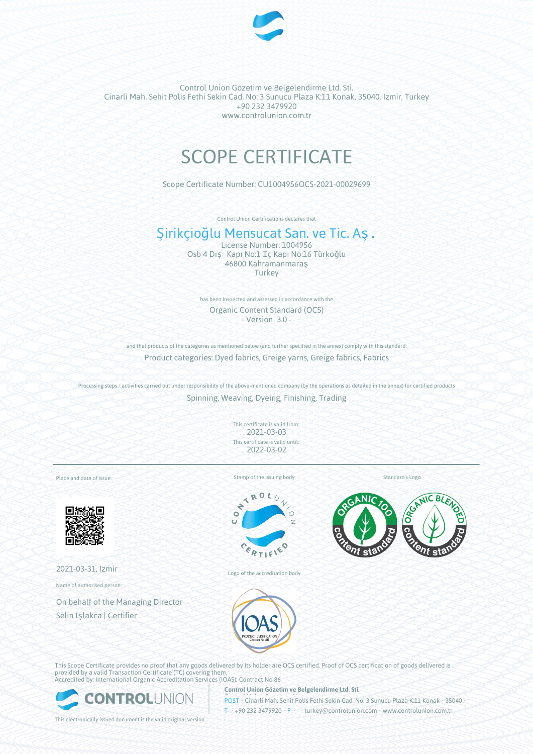

# SCOPE CERTIFICATE

Scope Certificate Number: CU1004956OCS-2021-00029699

Control Union Certifications declares that

## Şirikçioğlu Mensucat San. ve Tic. Aş.

License Number: 1004956 Osb 4 Dış Kapı No:1 İç Kapı No:16 Türkoğlu 46800 Kahramanmaraş **Turkey** 

has been inspected and assessed in accordance with the Organic Content Standard (OCS) - Version 3.0 -

and that products of the categories as mentioned below (and further specified in the annex) comply with this standard: Product categories: Dyed fabrics, Greige yarns, Greige fabrics, Fabrics

Processing steps / activities carried out under responsibility of the above-mentioned company (by the operations as detailed in the annex) for certified products Spinning, Weaving, Dyeing, Finishing, Trading

> This certificate is valid from: 2021-03-03 This certificate is valid until: 2022-03-02

Place and date of issue:



2021-03-31, Izmir

Name of authorised person:

On behalf of the Managing Director Selin Işlakca | Certifier

Stamp of the issuing body



Logo of the accreditation body

Standard's Logo





This Scope Certificate provides no proof that any goods delivered by its holder are OCS certified. Proof of OCS certification of goods delivered is provided by a valid Transaction Certificate (TC) covering them. Accredited by: International Organic Accreditation Services (IOAS); Contract No 86



**Control Union Gözetim ve Belgelendirme Ltd. Sti.**

POST • Cinarli Mah. Sehit Polis Fethi Sekin Cad. No: 3 Sunucu Plaza K:11 Konak • 35040 • T • +90 232 3479920 • F • • turkey@controlunion.com • www.controlunion.com.tr

This electronically issued document is the valid original version.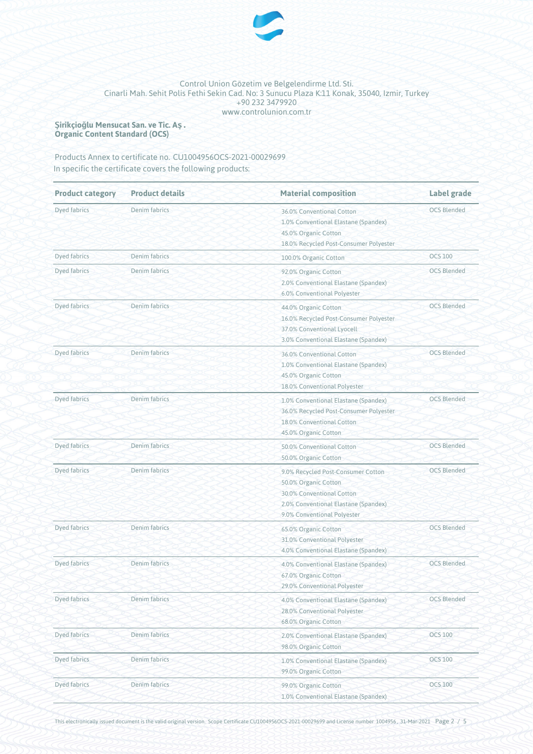

**Şirikçioğlu Mensucat San. ve Tic. Aş. Organic Content Standard (OCS)**

Products Annex to certificate no. CU1004956OCS-2021-00029699 In specific the certificate covers the following products:

| <b>Product category</b> | <b>Product details</b> | <b>Material composition</b>                                                                                                                                    | <b>Label grade</b> |  |
|-------------------------|------------------------|----------------------------------------------------------------------------------------------------------------------------------------------------------------|--------------------|--|
| Dyed fabrics            | Denim fabrics          | 36.0% Conventional Cotton<br>1.0% Conventional Elastane (Spandex)<br>45.0% Organic Cotton<br>18.0% Recycled Post-Consumer Polyester                            | <b>OCS Blended</b> |  |
| Dyed fabrics            | Denim fabrics          | 100.0% Organic Cotton                                                                                                                                          | <b>OCS 100</b>     |  |
| Dyed fabrics            | Denim fabrics          | 92.0% Organic Cotton<br>2.0% Conventional Elastane (Spandex)<br>6.0% Conventional Polyester                                                                    | <b>OCS Blended</b> |  |
| Dyed fabrics            | Denim fabrics          | 44.0% Organic Cotton<br>16.0% Recycled Post-Consumer Polyester<br>37.0% Conventional Lyocell<br>3.0% Conventional Elastane (Spandex)                           | <b>OCS Blended</b> |  |
| Dyed fabrics            | Denim fabrics          | 36.0% Conventional Cotton<br>1.0% Conventional Elastane (Spandex)<br>45.0% Organic Cotton<br>18.0% Conventional Polyester                                      | <b>OCS Blended</b> |  |
| Dyed fabrics            | Denim fabrics          | 1.0% Conventional Elastane (Spandex)<br>36.0% Recycled Post-Consumer Polyester<br>18.0% Conventional Cotton<br>45.0% Organic Cotton                            | <b>OCS Blended</b> |  |
| Dyed fabrics            | Denim fabrics          | 50.0% Conventional Cotton<br>50.0% Organic Cotton                                                                                                              | <b>OCS Blended</b> |  |
| Dyed fabrics            | Denim fabrics          | 9.0% Recycled Post-Consumer Cotton<br>50.0% Organic Cotton<br>30.0% Conventional Cotton<br>2.0% Conventional Elastane (Spandex)<br>9.0% Conventional Polyester | <b>OCS Blended</b> |  |
| Dyed fabrics            | Denim fabrics          | 65.0% Organic Cotton<br>31.0% Conventional Polyester<br>4.0% Conventional Elastane (Spandex)                                                                   | <b>OCS Blended</b> |  |
| Dyed fabrics            | Denim fabrics          | 4.0% Conventional Elastane (Spandex)<br>67.0% Organic Cotton<br>29.0% Conventional Polyester                                                                   | <b>OCS Blended</b> |  |
| Dyed fabrics            | Denim fabrics          | 4.0% Conventional Elastane (Spandex)<br>28.0% Conventional Polyester<br>68.0% Organic Cotton                                                                   | <b>OCS Blended</b> |  |
| Dyed fabrics            | Denim fabrics          | 2.0% Conventional Elastane (Spandex)<br>98.0% Organic Cotton                                                                                                   | <b>OCS 100</b>     |  |
| Dyed fabrics            | Denim fabrics          | 1.0% Conventional Elastane (Spandex)<br>99.0% Organic Cotton                                                                                                   | <b>OCS 100</b>     |  |
| Dyed fabrics            | Denim fabrics          | 99.0% Organic Cotton<br>1.0% Conventional Elastane (Spandex)                                                                                                   | <b>OCS 100</b>     |  |

This electronically issued document is the valid original version. Scope Certificate CU1004956OCS-2021-00029699 and License number 1004956 , 31-Mar-2021 Page 2 / 5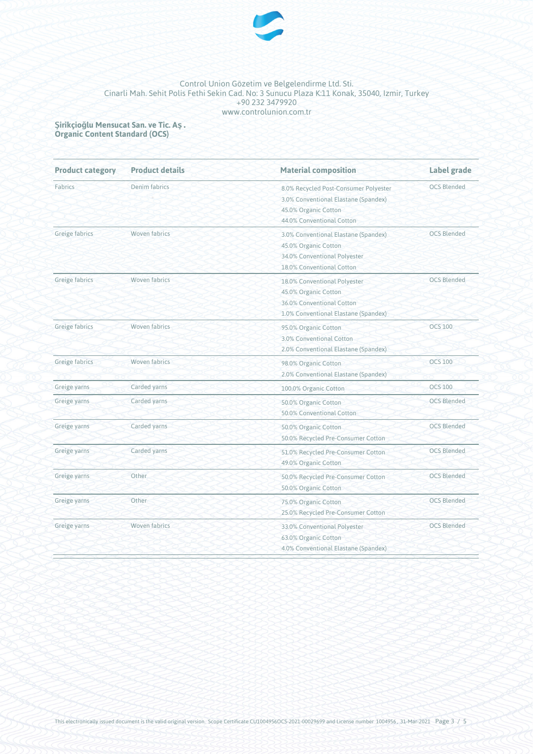

**Şirikçioğlu Mensucat San. ve Tic. Aş. Organic Content Standard (OCS)**

| <b>Product category</b> | <b>Product details</b> | <b>Material composition</b>           | Label grade        |
|-------------------------|------------------------|---------------------------------------|--------------------|
| Fabrics                 | Denim fabrics          | 8.0% Recycled Post-Consumer Polyester | <b>OCS Blended</b> |
|                         |                        | 3.0% Conventional Elastane (Spandex)  |                    |
|                         |                        | 45.0% Organic Cotton                  |                    |
|                         |                        | 44.0% Conventional Cotton             |                    |
| Greige fabrics          | Woven fabrics          | 3.0% Conventional Elastane (Spandex)  | <b>OCS Blended</b> |
|                         |                        | 45.0% Organic Cotton                  |                    |
|                         |                        | 34.0% Conventional Polyester          |                    |
|                         |                        | 18.0% Conventional Cotton             |                    |
| Greige fabrics          | Woven fabrics          | 18.0% Conventional Polyester          | <b>OCS Blended</b> |
|                         |                        | 45.0% Organic Cotton                  |                    |
|                         |                        | 36.0% Conventional Cotton             |                    |
|                         |                        | 1.0% Conventional Elastane (Spandex)  |                    |
| Greige fabrics          | Woven fabrics          | 95.0% Organic Cotton                  | <b>OCS 100</b>     |
|                         |                        | 3.0% Conventional Cotton              |                    |
|                         |                        | 2.0% Conventional Elastane (Spandex)  |                    |
| Greige fabrics          | Woven fabrics          | 98.0% Organic Cotton                  | <b>OCS 100</b>     |
|                         |                        | 2.0% Conventional Elastane (Spandex)  |                    |
| Greige yarns            | Carded yarns           | 100.0% Organic Cotton                 | <b>OCS 100</b>     |
| Greige yarns            | Carded yarns           | 50.0% Organic Cotton                  | <b>OCS Blended</b> |
|                         |                        | 50.0% Conventional Cotton             |                    |
| Greige yarns            | Carded yarns           | 50.0% Organic Cotton                  | <b>OCS Blended</b> |
|                         |                        | 50.0% Recycled Pre-Consumer Cotton    |                    |
| Greige yarns            | Carded yarns           | 51.0% Recycled Pre-Consumer Cotton    | <b>OCS Blended</b> |
|                         |                        | 49.0% Organic Cotton                  |                    |
| Greige yarns            | Other                  | 50.0% Recycled Pre-Consumer Cotton    | <b>OCS Blended</b> |
|                         |                        | 50.0% Organic Cotton                  |                    |
| Greige yarns            | Other                  | 75.0% Organic Cotton                  | <b>OCS Blended</b> |
|                         |                        | 25.0% Recycled Pre-Consumer Cotton    |                    |
| Greige yarns            | Woven fabrics          | 33.0% Conventional Polyester          | <b>OCS Blended</b> |
|                         |                        | 63.0% Organic Cotton                  |                    |
|                         |                        | 4.0% Conventional Elastane (Spandex)  |                    |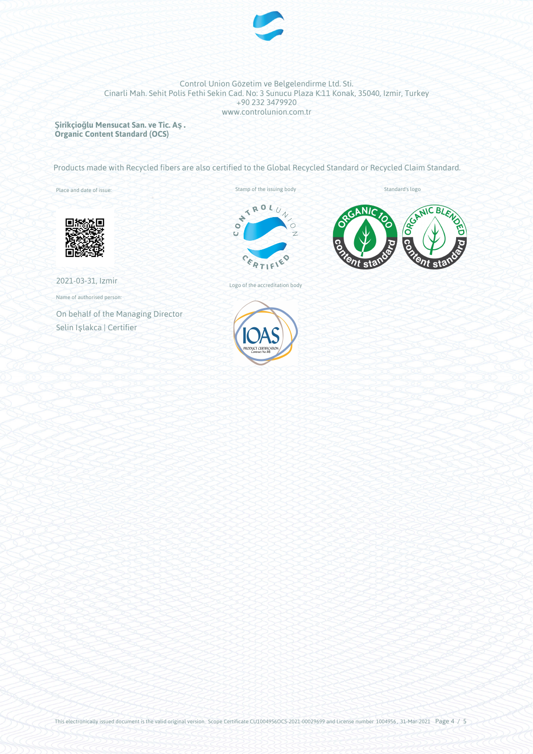

**Şirikçioğlu Mensucat San. ve Tic. Aş. Organic Content Standard (OCS)**

Products made with Recycled fibers are also certified to the Global Recycled Standard or Recycled Claim Standard.

Place and date of issue:

Stamp of the issuing body<br>  $\begin{pmatrix} 1 & 0 & 0 \\ 0 & 0 & 0 \\ 0 & 0 & 0 \end{pmatrix}$ ö CERTIF ö



Standard's logo



Name of authorised person:

On behalf of the Managing Director Selin Işlakca | Certifier



Logo of the accreditation body